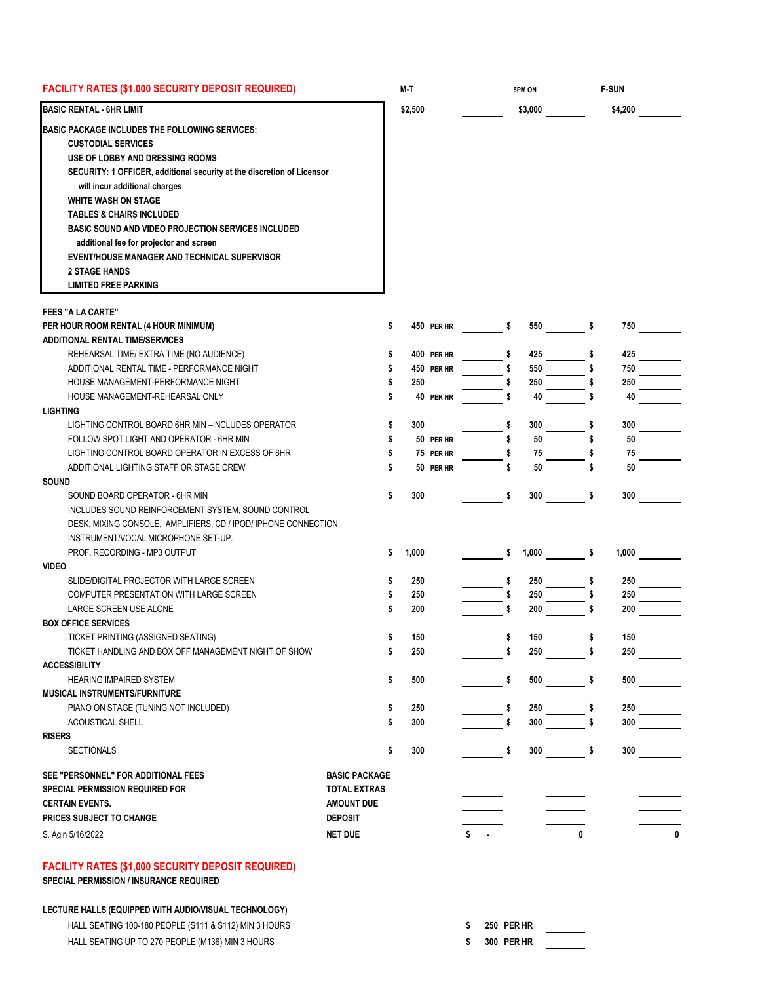| <b>FACILITY RATES (\$1.000 SECURITY DEPOSIT REQUIRED)</b><br>M-T                                                                                                                                                                                                                                                                                                                                                                                                                                              |                      |         |            |    | 5PM ON<br>\$3,000 |    | <b>F-SUN</b><br>\$4,200 |           |
|---------------------------------------------------------------------------------------------------------------------------------------------------------------------------------------------------------------------------------------------------------------------------------------------------------------------------------------------------------------------------------------------------------------------------------------------------------------------------------------------------------------|----------------------|---------|------------|----|-------------------|----|-------------------------|-----------|
| <b>BASIC RENTAL - 6HR LIMIT</b>                                                                                                                                                                                                                                                                                                                                                                                                                                                                               |                      | \$2,500 |            |    |                   |    |                         |           |
| BASIC PACKAGE INCLUDES THE FOLLOWING SERVICES:<br><b>CUSTODIAL SERVICES</b><br>USE OF LOBBY AND DRESSING ROOMS<br>SECURITY: 1 OFFICER, additional security at the discretion of Licensor<br>will incur additional charges<br><b>WHITE WASH ON STAGE</b><br><b>TABLES &amp; CHAIRS INCLUDED</b><br><b>BASIC SOUND AND VIDEO PROJECTION SERVICES INCLUDED</b><br>additional fee for projector and screen<br>EVENT/HOUSE MANAGER AND TECHNICAL SUPERVISOR<br><b>2 STAGE HANDS</b><br><b>LIMITED FREE PARKING</b> |                      |         |            |    |                   |    |                         |           |
| <b>FEES "A LA CARTE"</b>                                                                                                                                                                                                                                                                                                                                                                                                                                                                                      |                      |         |            |    |                   |    |                         |           |
| PER HOUR ROOM RENTAL (4 HOUR MINIMUM)                                                                                                                                                                                                                                                                                                                                                                                                                                                                         | \$                   |         | 450 PER HR | s  | 550               |    | 750                     |           |
| <b>ADDITIONAL RENTAL TIME/SERVICES</b>                                                                                                                                                                                                                                                                                                                                                                                                                                                                        |                      |         |            |    |                   |    |                         |           |
| REHEARSAL TIME/ EXTRA TIME (NO AUDIENCE)                                                                                                                                                                                                                                                                                                                                                                                                                                                                      |                      |         | 400 PER HR | S  | 425               |    | 425                     |           |
| ADDITIONAL RENTAL TIME - PERFORMANCE NIGHT                                                                                                                                                                                                                                                                                                                                                                                                                                                                    |                      |         | 450 PER HR | \$ | 550               |    | 750                     |           |
| HOUSE MANAGEMENT-PERFORMANCE NIGHT                                                                                                                                                                                                                                                                                                                                                                                                                                                                            | S                    | 250     |            |    | 250               |    | 250                     |           |
| HOUSE MANAGEMENT-REHEARSAL ONLY                                                                                                                                                                                                                                                                                                                                                                                                                                                                               |                      |         | 40 PER HR  | S  | 40                |    | 40                      |           |
| <b>LIGHTING</b>                                                                                                                                                                                                                                                                                                                                                                                                                                                                                               |                      |         |            |    |                   |    |                         |           |
| LIGHTING CONTROL BOARD 6HR MIN-INCLUDES OPERATOR                                                                                                                                                                                                                                                                                                                                                                                                                                                              | \$                   | 300     |            |    | 300               |    | 300                     |           |
| FOLLOW SPOT LIGHT AND OPERATOR - 6HR MIN                                                                                                                                                                                                                                                                                                                                                                                                                                                                      | \$                   |         | 50 PER HR  | \$ | 50                |    | 50                      |           |
| LIGHTING CONTROL BOARD OPERATOR IN EXCESS OF 6HR                                                                                                                                                                                                                                                                                                                                                                                                                                                              |                      |         | 75 PER HR  |    | 75                |    | 75                      |           |
| ADDITIONAL LIGHTING STAFF OR STAGE CREW                                                                                                                                                                                                                                                                                                                                                                                                                                                                       |                      |         | 50 PER HR  | \$ | 50                |    | 50                      |           |
| <b>SOUND</b>                                                                                                                                                                                                                                                                                                                                                                                                                                                                                                  |                      |         |            |    |                   |    |                         |           |
| SOUND BOARD OPERATOR - 6HR MIN                                                                                                                                                                                                                                                                                                                                                                                                                                                                                | \$                   | 300     |            | \$ | 300               | S  | 300                     |           |
| INCLUDES SOUND REINFORCEMENT SYSTEM, SOUND CONTROL<br>DESK, MIXING CONSOLE, AMPLIFIERS, CD / IPOD/ IPHONE CONNECTION<br>INSTRUMENT/VOCAL MICROPHONE SET-UP.<br>PROF. RECORDING - MP3 OUTPUT                                                                                                                                                                                                                                                                                                                   | \$                   | 1,000   |            | \$ | 1,000             |    | 1,000                   |           |
| <b>VIDEO</b>                                                                                                                                                                                                                                                                                                                                                                                                                                                                                                  |                      |         |            |    |                   |    |                         |           |
| SLIDE/DIGITAL PROJECTOR WITH LARGE SCREEN                                                                                                                                                                                                                                                                                                                                                                                                                                                                     |                      | 250     |            | \$ | 250               |    | 250                     |           |
| COMPUTER PRESENTATION WITH LARGE SCREEN                                                                                                                                                                                                                                                                                                                                                                                                                                                                       |                      | 250     |            | \$ | 250               |    | 250                     |           |
| LARGE SCREEN USE ALONE                                                                                                                                                                                                                                                                                                                                                                                                                                                                                        |                      | 200     |            | \$ | 200               |    | 200                     |           |
| <b>BOX OFFICE SERVICES</b>                                                                                                                                                                                                                                                                                                                                                                                                                                                                                    |                      |         |            |    |                   |    |                         |           |
| TICKET PRINTING (ASSIGNED SEATING)                                                                                                                                                                                                                                                                                                                                                                                                                                                                            | S                    | 150     |            | s  | 150               | s  | 150                     |           |
| TICKET HANDLING AND BOX OFF MANAGEMENT NIGHT OF SHOW                                                                                                                                                                                                                                                                                                                                                                                                                                                          | \$                   | 250     |            | \$ | 250               |    | 250                     |           |
| <b>ACCESSIBILITY</b>                                                                                                                                                                                                                                                                                                                                                                                                                                                                                          |                      |         |            |    |                   |    |                         |           |
| <b>HEARING IMPAIRED SYSTEM</b>                                                                                                                                                                                                                                                                                                                                                                                                                                                                                | \$                   |         |            |    | 500               |    | 500                     |           |
|                                                                                                                                                                                                                                                                                                                                                                                                                                                                                                               |                      | 500     |            | \$ |                   | \$ |                         |           |
| <b>MUSICAL INSTRUMENTS/FURNITURE</b>                                                                                                                                                                                                                                                                                                                                                                                                                                                                          |                      |         |            |    |                   |    |                         |           |
| PIANO ON STAGE (TUNING NOT INCLUDED)                                                                                                                                                                                                                                                                                                                                                                                                                                                                          | \$                   | 250     |            | \$ | 250               |    | 250                     |           |
| ACOUSTICAL SHELL                                                                                                                                                                                                                                                                                                                                                                                                                                                                                              |                      | 300     |            | \$ | 300               |    | 300                     |           |
| <b>RISERS</b>                                                                                                                                                                                                                                                                                                                                                                                                                                                                                                 |                      |         |            |    |                   |    |                         |           |
| <b>SECTIONALS</b>                                                                                                                                                                                                                                                                                                                                                                                                                                                                                             | \$                   | 300     |            | \$ | 300               | \$ | 300                     |           |
| SEE "PERSONNEL" FOR ADDITIONAL FEES                                                                                                                                                                                                                                                                                                                                                                                                                                                                           | <b>BASIC PACKAGE</b> |         |            |    |                   |    |                         |           |
| SPECIAL PERMISSION REQUIRED FOR                                                                                                                                                                                                                                                                                                                                                                                                                                                                               | <b>TOTAL EXTRAS</b>  |         |            |    |                   |    |                         |           |
| <b>CERTAIN EVENTS.</b>                                                                                                                                                                                                                                                                                                                                                                                                                                                                                        | <b>AMOUNT DUE</b>    |         |            |    |                   |    |                         |           |
| PRICES SUBJECT TO CHANGE                                                                                                                                                                                                                                                                                                                                                                                                                                                                                      | <b>DEPOSIT</b>       |         |            |    |                   |    |                         |           |
|                                                                                                                                                                                                                                                                                                                                                                                                                                                                                                               |                      |         |            |    |                   |    |                         |           |
| S. Agin 5/16/2022                                                                                                                                                                                                                                                                                                                                                                                                                                                                                             | <b>NET DUE</b>       |         |            |    |                   | 0  |                         | $\pmb{0}$ |
| <b>FACILITY RATES (\$1,000 SECURITY DEPOSIT REQUIRED)</b><br><b>SPECIAL PERMISSION / INSURANCE REQUIRED</b>                                                                                                                                                                                                                                                                                                                                                                                                   |                      |         |            |    |                   |    |                         |           |
| LECTURE HALLS (EQUIPPED WITH AUDIO/VISUAL TECHNOLOGY)                                                                                                                                                                                                                                                                                                                                                                                                                                                         |                      |         |            |    |                   |    |                         |           |

HALL SEATING 100-180 PEOPLE (S111 & S112) MIN 3 HOURS **\$ 250 PER HR**

HALL SEATING UP TO 270 PEOPLE (M136) MIN 3 HOURS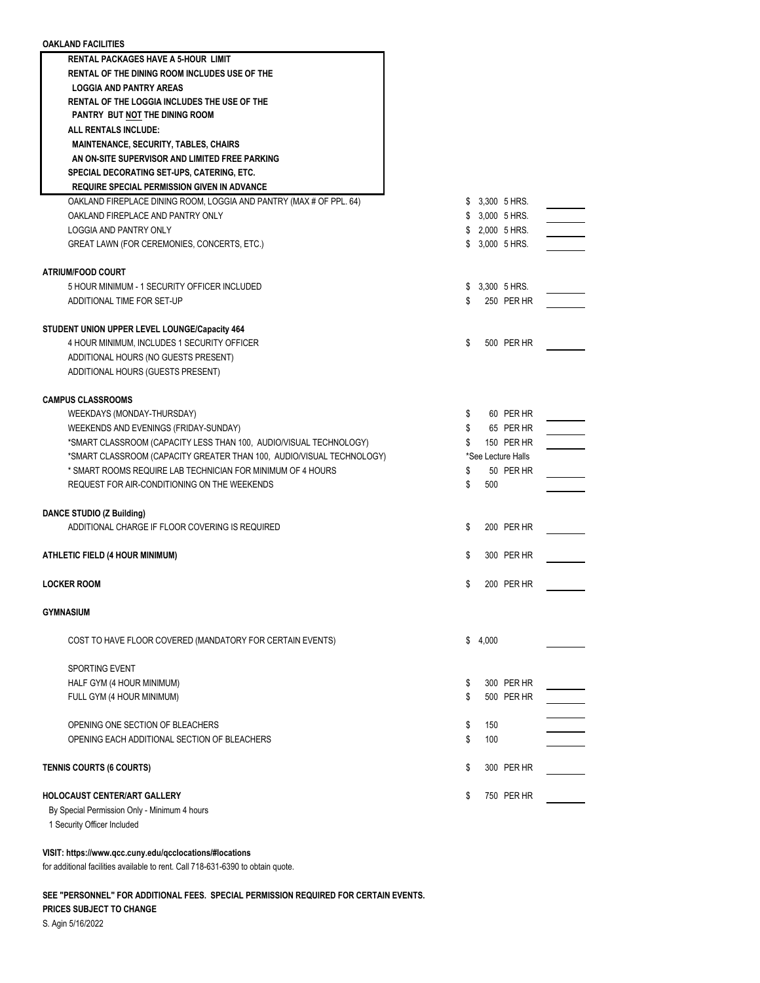| <b>OAKLAND FACILITIES</b>                                                                                                                   |          |                         |
|---------------------------------------------------------------------------------------------------------------------------------------------|----------|-------------------------|
| <b>RENTAL PACKAGES HAVE A 5-HOUR LIMIT</b>                                                                                                  |          |                         |
| RENTAL OF THE DINING ROOM INCLUDES USE OF THE                                                                                               |          |                         |
| <b>LOGGIA AND PANTRY AREAS</b>                                                                                                              |          |                         |
| <b>RENTAL OF THE LOGGIA INCLUDES THE USE OF THE</b>                                                                                         |          |                         |
| PANTRY BUT NOT THE DINING ROOM                                                                                                              |          |                         |
| ALL RENTALS INCLUDE:                                                                                                                        |          |                         |
| <b>MAINTENANCE, SECURITY, TABLES, CHAIRS</b>                                                                                                |          |                         |
| AN ON-SITE SUPERVISOR AND LIMITED FREE PARKING                                                                                              |          |                         |
| SPECIAL DECORATING SET-UPS, CATERING, ETC.<br><b>REQUIRE SPECIAL PERMISSION GIVEN IN ADVANCE</b>                                            |          |                         |
| OAKLAND FIREPLACE DINING ROOM, LOGGIA AND PANTRY (MAX # OF PPL. 64)                                                                         |          | \$ 3,300 5 HRS.         |
| OAKLAND FIREPLACE AND PANTRY ONLY                                                                                                           |          | \$ 3,000 5 HRS.         |
| LOGGIA AND PANTRY ONLY                                                                                                                      |          | \$ 2,000 5 HRS.         |
| GREAT LAWN (FOR CEREMONIES, CONCERTS, ETC.)                                                                                                 |          | \$ 3,000 5 HRS.         |
|                                                                                                                                             |          |                         |
| <b>ATRIUM/FOOD COURT</b>                                                                                                                    |          |                         |
| 5 HOUR MINIMUM - 1 SECURITY OFFICER INCLUDED                                                                                                |          | \$ 3,300 5 HRS.         |
| ADDITIONAL TIME FOR SET-UP                                                                                                                  | \$       | 250 PER HR              |
|                                                                                                                                             |          |                         |
| STUDENT UNION UPPER LEVEL LOUNGE/Capacity 464                                                                                               |          |                         |
| 4 HOUR MINIMUM, INCLUDES 1 SECURITY OFFICER                                                                                                 | \$       | 500 PER HR              |
| ADDITIONAL HOURS (NO GUESTS PRESENT)                                                                                                        |          |                         |
| ADDITIONAL HOURS (GUESTS PRESENT)                                                                                                           |          |                         |
|                                                                                                                                             |          |                         |
| <b>CAMPUS CLASSROOMS</b>                                                                                                                    |          |                         |
| WEEKDAYS (MONDAY-THURSDAY)                                                                                                                  | \$       | 60 PER HR               |
| WEEKENDS AND EVENINGS (FRIDAY-SUNDAY)                                                                                                       | \$<br>\$ | 65 PER HR<br>150 PER HR |
| *SMART CLASSROOM (CAPACITY LESS THAN 100, AUDIO/VISUAL TECHNOLOGY)<br>*SMART CLASSROOM (CAPACITY GREATER THAN 100, AUDIO/VISUAL TECHNOLOGY) |          | *See Lecture Halls      |
| * SMART ROOMS REQUIRE LAB TECHNICIAN FOR MINIMUM OF 4 HOURS                                                                                 | \$       | 50 PER HR               |
| REQUEST FOR AIR-CONDITIONING ON THE WEEKENDS                                                                                                | \$       | 500                     |
|                                                                                                                                             |          |                         |
| DANCE STUDIO (Z Building)                                                                                                                   |          |                         |
| ADDITIONAL CHARGE IF FLOOR COVERING IS REQUIRED                                                                                             | S        | 200 PER HR              |
|                                                                                                                                             |          |                         |
| ATHLETIC FIELD (4 HOUR MINIMUM)                                                                                                             | S        | 300 PER HR              |
|                                                                                                                                             |          |                         |
| <b>LOCKER ROOM</b>                                                                                                                          | \$       | 200 PER HR              |
|                                                                                                                                             |          |                         |
| <b>GYMNASIUM</b>                                                                                                                            |          |                         |
| COST TO HAVE FLOOR COVERED (MANDATORY FOR CERTAIN EVENTS)                                                                                   | \$       | 4,000                   |
|                                                                                                                                             |          |                         |
| <b>SPORTING EVENT</b>                                                                                                                       |          |                         |
| HALF GYM (4 HOUR MINIMUM)                                                                                                                   | S        | 300 PER HR              |
| FULL GYM (4 HOUR MINIMUM)                                                                                                                   | \$       | 500 PER HR              |
|                                                                                                                                             |          |                         |
| OPENING ONE SECTION OF BLEACHERS                                                                                                            | \$       | 150                     |
| OPENING EACH ADDITIONAL SECTION OF BLEACHERS                                                                                                | \$       | 100                     |
|                                                                                                                                             |          |                         |
| <b>TENNIS COURTS (6 COURTS)</b>                                                                                                             | \$       | 300 PER HR              |
|                                                                                                                                             |          |                         |
| <b>HOLOCAUST CENTER/ART GALLERY</b>                                                                                                         | \$       | 750 PER HR              |
| By Special Permission Only - Minimum 4 hours                                                                                                |          |                         |

1 Security Officer Included

## **VISIT: https://www.qcc.cuny.edu/qcclocations/#locations**

for additional facilities available to rent. Call 718-631-6390 to obtain quote.

**SEE "PERSONNEL" FOR ADDITIONAL FEES. SPECIAL PERMISSION REQUIRED FOR CERTAIN EVENTS.**

**PRICES SUBJECT TO CHANGE**

S. Agin 5/16/2022